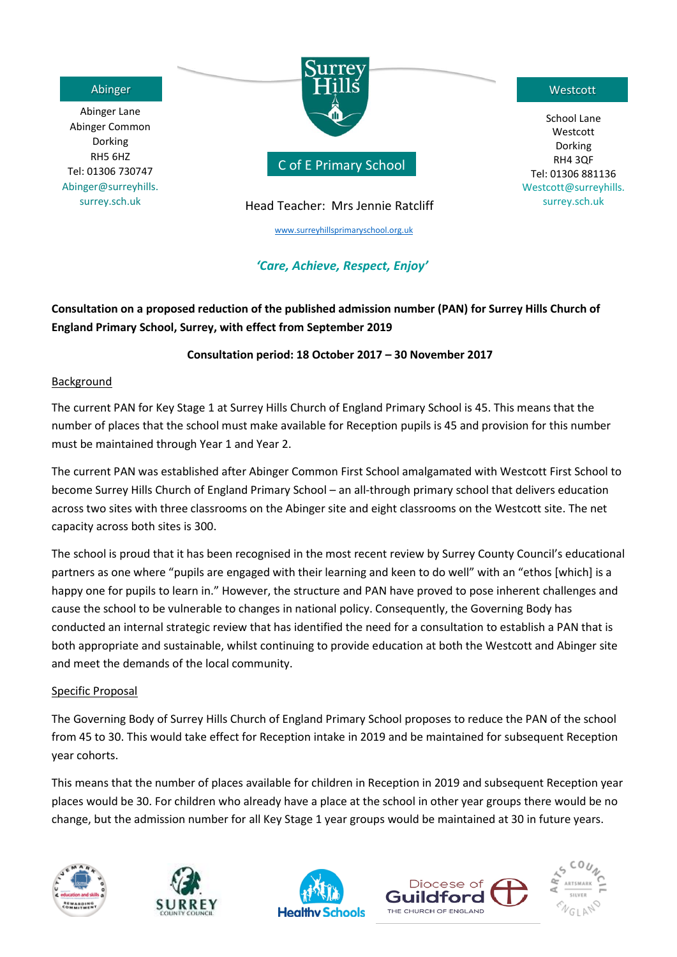Abinger Lane Abinger Common Dorking RH5 6HZ Tel: 01306 730747 Abinger@surreyhills. surrey.sch.uk



C of E Primary School

# Head Teacher: Mrs Jennie Ratcliff

[www.surreyhillsprimaryschool.org.uk](http://www.surreyhillsprimaryschool.org.uk/)

# *'Care, Achieve, Respect, Enjoy'*

School Lane Westcott Dorking RH4 3QF Tel: 01306 881136 Westcott@surreyhills. surrey.sch.uk

# **Consultation on a proposed reduction of the published admission number (PAN) for Surrey Hills Church of England Primary School, Surrey, with effect from September 2019**

# **Consultation period: 18 October 2017 – 30 November 2017**

## Background

The current PAN for Key Stage 1 at Surrey Hills Church of England Primary School is 45. This means that the number of places that the school must make available for Reception pupils is 45 and provision for this number must be maintained through Year 1 and Year 2.

The current PAN was established after Abinger Common First School amalgamated with Westcott First School to become Surrey Hills Church of England Primary School – an all-through primary school that delivers education across two sites with three classrooms on the Abinger site and eight classrooms on the Westcott site. The net capacity across both sites is 300.

The school is proud that it has been recognised in the most recent review by Surrey County Council's educational partners as one where "pupils are engaged with their learning and keen to do well" with an "ethos [which] is a happy one for pupils to learn in." However, the structure and PAN have proved to pose inherent challenges and cause the school to be vulnerable to changes in national policy. Consequently, the Governing Body has conducted an internal strategic review that has identified the need for a consultation to establish a PAN that is both appropriate and sustainable, whilst continuing to provide education at both the Westcott and Abinger site and meet the demands of the local community.

# Specific Proposal

The Governing Body of Surrey Hills Church of England Primary School proposes to reduce the PAN of the school from 45 to 30. This would take effect for Reception intake in 2019 and be maintained for subsequent Reception year cohorts.

This means that the number of places available for children in Reception in 2019 and subsequent Reception year places would be 30. For children who already have a place at the school in other year groups there would be no change, but the admission number for all Key Stage 1 year groups would be maintained at 30 in future years.









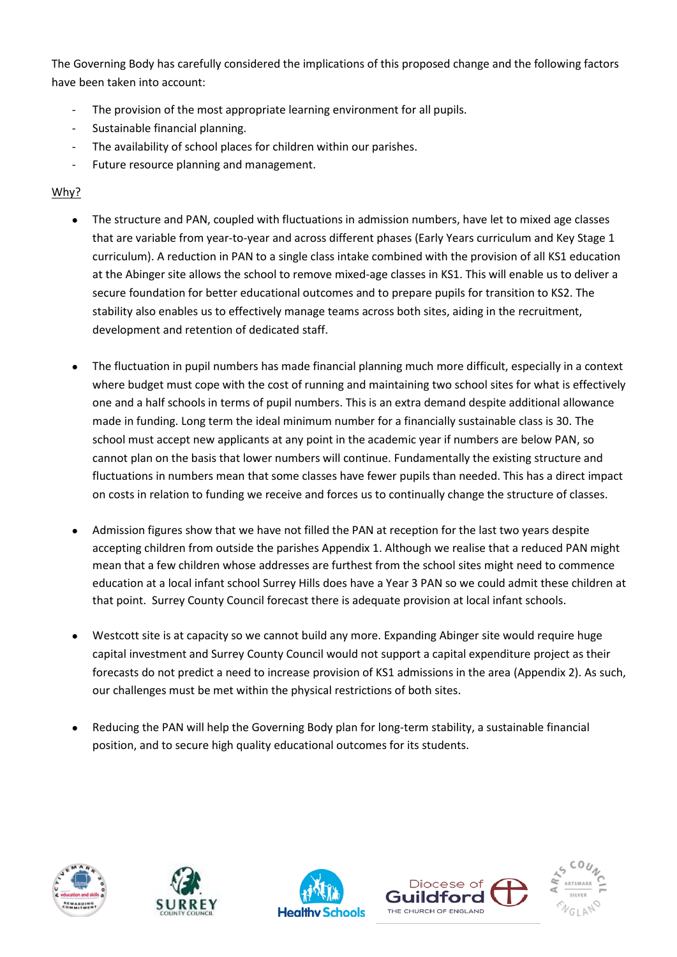The Governing Body has carefully considered the implications of this proposed change and the following factors have been taken into account:

- The provision of the most appropriate learning environment for all pupils.
- Sustainable financial planning.
- The availability of school places for children within our parishes.
- Future resource planning and management.

# Why?

- The structure and PAN, coupled with fluctuations in admission numbers, have let to mixed age classes that are variable from year-to-year and across different phases (Early Years curriculum and Key Stage 1 curriculum). A reduction in PAN to a single class intake combined with the provision of all KS1 education at the Abinger site allows the school to remove mixed-age classes in KS1. This will enable us to deliver a secure foundation for better educational outcomes and to prepare pupils for transition to KS2. The stability also enables us to effectively manage teams across both sites, aiding in the recruitment, development and retention of dedicated staff.
- The fluctuation in pupil numbers has made financial planning much more difficult, especially in a context where budget must cope with the cost of running and maintaining two school sites for what is effectively one and a half schools in terms of pupil numbers. This is an extra demand despite additional allowance made in funding. Long term the ideal minimum number for a financially sustainable class is 30. The school must accept new applicants at any point in the academic year if numbers are below PAN, so cannot plan on the basis that lower numbers will continue. Fundamentally the existing structure and fluctuations in numbers mean that some classes have fewer pupils than needed. This has a direct impact on costs in relation to funding we receive and forces us to continually change the structure of classes.
- Admission figures show that we have not filled the PAN at reception for the last two years despite accepting children from outside the parishes Appendix 1. Although we realise that a reduced PAN might mean that a few children whose addresses are furthest from the school sites might need to commence education at a local infant school Surrey Hills does have a Year 3 PAN so we could admit these children at that point. Surrey County Council forecast there is adequate provision at local infant schools.
- Westcott site is at capacity so we cannot build any more. Expanding Abinger site would require huge capital investment and Surrey County Council would not support a capital expenditure project as their forecasts do not predict a need to increase provision of KS1 admissions in the area (Appendix 2). As such, our challenges must be met within the physical restrictions of both sites.
- Reducing the PAN will help the Governing Body plan for long-term stability, a sustainable financial position, and to secure high quality educational outcomes for its students.









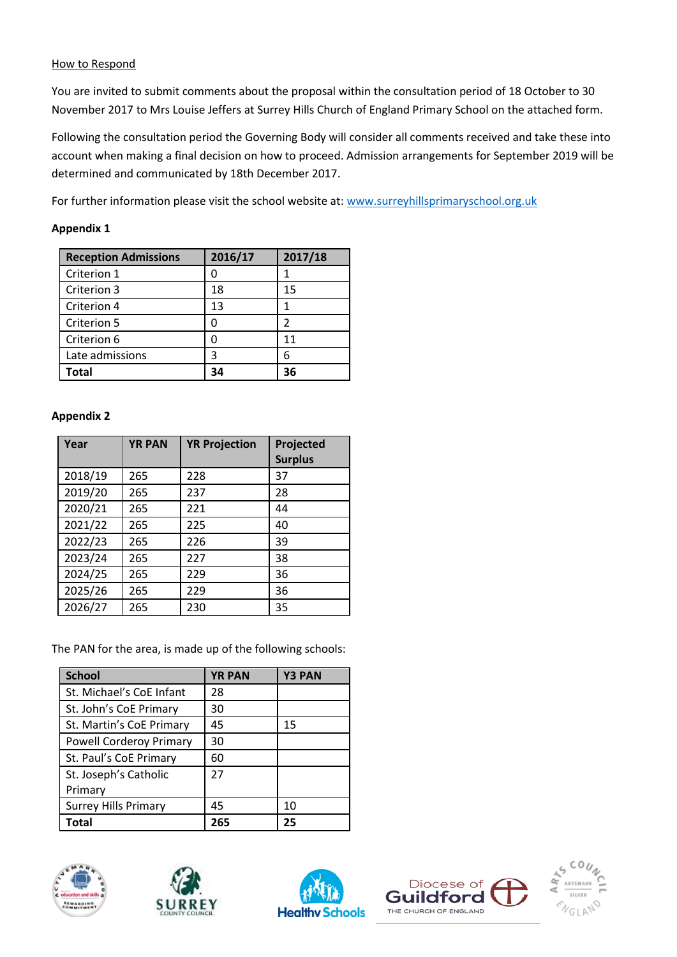#### How to Respond

You are invited to submit comments about the proposal within the consultation period of 18 October to 30 November 2017 to Mrs Louise Jeffers at Surrey Hills Church of England Primary School on the attached form.

Following the consultation period the Governing Body will consider all comments received and take these into account when making a final decision on how to proceed. Admission arrangements for September 2019 will be determined and communicated by 18th December 2017.

For further information please visit the school website at: [www.surreyhillsprimaryschool.org.uk](http://www.surreyhillsprimaryschool.org.uk/)

## **Appendix 1**

| <b>Reception Admissions</b> | 2016/17 | 2017/18 |
|-----------------------------|---------|---------|
| Criterion 1                 |         |         |
| Criterion 3                 | 18      | 15      |
| Criterion 4                 | 13      |         |
| Criterion 5                 |         | 2       |
| Criterion 6                 |         | 11      |
| Late admissions             | ੨       | 6       |
| Total                       | 34      | 36      |

## **Appendix 2**

| Year    | <b>YR PAN</b> | <b>YR Projection</b> | Projected<br><b>Surplus</b> |
|---------|---------------|----------------------|-----------------------------|
| 2018/19 | 265           | 228                  | 37                          |
| 2019/20 | 265           | 237                  | 28                          |
| 2020/21 | 265           | 221                  | 44                          |
| 2021/22 | 265           | 225                  | 40                          |
| 2022/23 | 265           | 226                  | 39                          |
| 2023/24 | 265           | 227                  | 38                          |
| 2024/25 | 265           | 229                  | 36                          |
| 2025/26 | 265           | 229                  | 36                          |
| 2026/27 | 265           | 230                  | 35                          |

The PAN for the area, is made up of the following schools:

| <b>School</b>                  | <b>YR PAN</b> | <b>Y3 PAN</b> |
|--------------------------------|---------------|---------------|
| St. Michael's CoE Infant       | 28            |               |
| St. John's CoE Primary         | 30            |               |
| St. Martin's CoE Primary       | 45            | 15            |
| <b>Powell Corderoy Primary</b> | 30            |               |
| St. Paul's CoE Primary         | 60            |               |
| St. Joseph's Catholic          | 27            |               |
| Primary                        |               |               |
| <b>Surrey Hills Primary</b>    | 45            | 10            |
| Total                          | 265           | 25            |